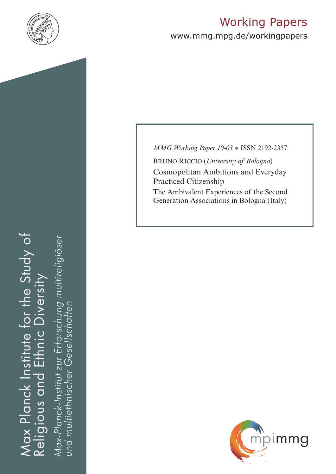

# Working Papers

www.mmg.mpg.de/workingpapers

Max Planck Institute for the Study of Religious and Ethnic Diversity ax Planck Institute for the Study of Viversity  $\frac{C}{C}$ ய் Religious and

*Max-Planck-Institut zur Erforschung multireligiöser*  öser Max-Planck-Institut zur Erforschung multireli *und multiethnischer Gesellschaften*und multiethnischer Gesellschatter *MMG Working Paper 10-03* ● ISSN 2192-2357

Bruno Riccio (*University of Bologna*) Cosmopolitan Ambitions and Everyday Practiced Citizenship The Ambivalent Experiences of the Second Generation Associations in Bologna (Italy)

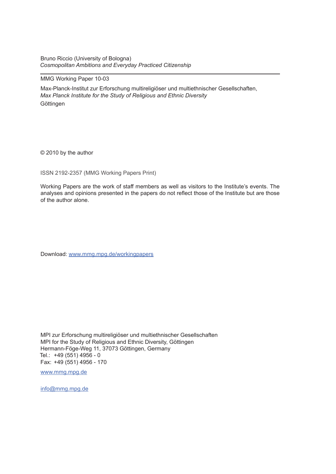Bruno Riccio (University of Bologna) *Cosmopolitan Ambitions and Everyday Practiced Citizenship*

#### MMG Working Paper 10-03

Max-Planck-Institut zur Erforschung multireligiöser und multiethnischer Gesellschaften, *Max Planck Institute for the Study of Religious and Ethnic Diversity* **Göttingen** 

© 2010 by the author

ISSN 2192-2357 (MMG Working Papers Print)

Working Papers are the work of staff members as well as visitors to the Institute's events. The analyses and opinions presented in the papers do not reflect those of the Institute but are those of the author alone.

Download: www.mmg.mpg.de/workingpapers

MPI zur Erforschung multireligiöser und multiethnischer Gesellschaften MPI for the Study of Religious and Ethnic Diversity, Göttingen Hermann-Föge-Weg 11, 37073 Göttingen, Germany Tel.: +49 (551) 4956 - 0 Fax: +49 (551) 4956 - 170

www.mmg.mpg.de

info@mmg.mpg.de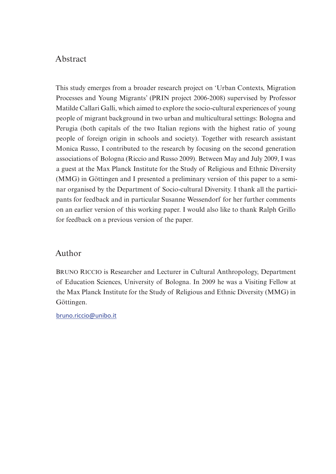# Abstract

This study emerges from a broader research project on 'Urban Contexts, Migration Processes and Young Migrants' (PRIN project 2006-2008) supervised by Professor Matilde Callari Galli, which aimed to explore the socio-cultural experiences of young people of migrant background in two urban and multicultural settings: Bologna and Perugia (both capitals of the two Italian regions with the highest ratio of young people of foreign origin in schools and society). Together with research assistant Monica Russo, I contributed to the research by focusing on the second generation associations of Bologna (Riccio and Russo 2009). Between May and July 2009, I was a guest at the Max Planck Institute for the Study of Religious and Ethnic Diversity (MMG) in Göttingen and I presented a preliminary version of this paper to a seminar organised by the Department of Socio-cultural Diversity. I thank all the participants for feedback and in particular Susanne Wessendorf for her further comments on an earlier version of this working paper. I would also like to thank Ralph Grillo for feedback on a previous version of the paper.

# Author

Bruno Riccio is Researcher and Lecturer in Cultural Anthropology, Department of Education Sciences, University of Bologna. In 2009 he was a Visiting Fellow at the Max Planck Institute for the Study of Religious and Ethnic Diversity (MMG) in Göttingen.

bruno.riccio@unibo.it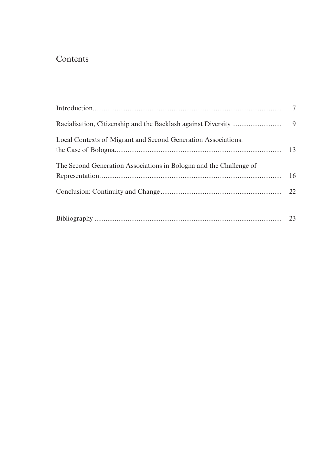# Contents

| Local Contexts of Migrant and Second Generation Associations:      | 13 |
|--------------------------------------------------------------------|----|
| The Second Generation Associations in Bologna and the Challenge of | 16 |
|                                                                    |    |
|                                                                    |    |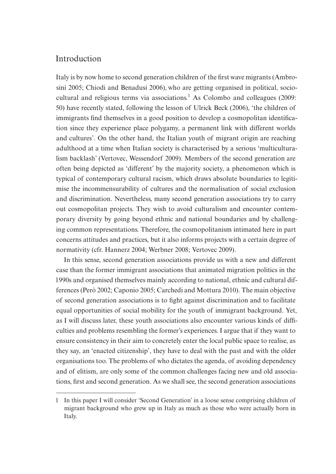# Introduction

Italy is by now home to second generation children of the first wave migrants (Ambrosini 2005; Chiodi and Benadusi 2006), who are getting organised in political, sociocultural and religious terms via associations.<sup>1</sup> As Colombo and colleagues (2009: 50) have recently stated, following the lesson of Ulrick Beck (2006), 'the children of immigrants find themselves in a good position to develop a cosmopolitan identification since they experience place polygamy, a permanent link with different worlds and cultures'. On the other hand, the Italian youth of migrant origin are reaching adulthood at a time when Italian society is characterised by a serious 'multiculturalism backlash' (Vertovec, Wessendorf 2009). Members of the second generation are often being depicted as 'different' by the majority society, a phenomenon which is typical of contemporary cultural racism, which draws absolute boundaries to legitimise the incommensurability of cultures and the normalisation of social exclusion and discrimination. Nevertheless, many second generation associations try to carry out cosmopolitan projects. They wish to avoid culturalism and encounter contemporary diversity by going beyond ethnic and national boundaries and by challenging common representations. Therefore, the cosmopolitanism intimated here in part concerns attitudes and practices, but it also informs projects with a certain degree of normativity (cfr. Hannerz 2004; Werbner 2008; Vertovec 2009).

In this sense, second generation associations provide us with a new and different case than the former immigrant associations that animated migration politics in the 1990s and organised themselves mainly according to national, ethnic and cultural differences (Però 2002; Caponio 2005; Carchedi and Mottura 2010). The main objective of second generation associations is to fight against discrimination and to facilitate equal opportunities of social mobility for the youth of immigrant background. Yet, as I will discuss later, these youth associations also encounter various kinds of difficulties and problems resembling the former's experiences. I argue that if they want to ensure consistency in their aim to concretely enter the local public space to realise, as they say, an 'enacted citizenship', they have to deal with the past and with the older organisations too. The problems of who dictates the agenda, of avoiding dependency and of elitism, are only some of the common challenges facing new and old associations, first and second generation. As we shall see, the second generation associations

<sup>1</sup> In this paper I will consider 'Second Generation' in a loose sense comprising children of migrant background who grew up in Italy as much as those who were actually born in Italy.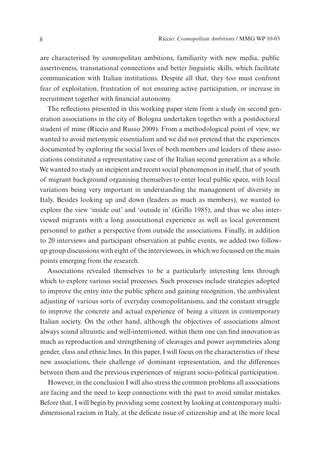are characterised by cosmopolitan ambitions, familiarity with new media, public assertiveness, transnational connections and better linguistic skills, which facilitate communication with Italian institutions. Despite all that, they too must confront fear of exploitation, frustration of not ensuring active participation, or increase in recruitment together with financial autonomy.

The reflections presented in this working paper stem from a study on second generation associations in the city of Bologna undertaken together with a postdoctoral student of mine (Riccio and Russo 2009). From a methodological point of view, we wanted to avoid metonymic essentialism and we did not pretend that the experiences documented by exploring the social lives of both members and leaders of these associations constituted a representative case of the Italian second generation as a whole. We wanted to study an incipient and recent social phenomenon in itself, that of youth of migrant background organising themselves to enter local public space, with local variations being very important in understanding the management of diversity in Italy. Besides looking up and down (leaders as much as members), we wanted to explore the view 'inside out' and 'outside in' (Grillo 1985), and thus we also interviewed migrants with a long associational experience as well as local government personnel to gather a perspective from outside the associations. Finally, in addition to 20 interviews and participant observation at public events, we added two followup group discussions with eight of the interviewees, in which we focussed on the main points emerging from the research.

Associations revealed themselves to be a particularly interesting lens through which to explore various social processes. Such processes include strategies adopted to improve the entry into the public sphere and gaining recognition, the ambivalent adjusting of various sorts of everyday cosmopolitanisms, and the constant struggle to improve the concrete and actual experience of being a citizen in contemporary Italian society. On the other hand, although the objectives of associations almost always sound altruistic and well-intentioned, within them one can find innovation as much as reproduction and strengthening of cleavages and power asymmetries along gender, class and ethnic lines. In this paper, I will focus on the characteristics of these new associations, their challenge of dominant representation, and the differences between them and the previous experiences of migrant socio-political participation.

However, in the conclusion I will also stress the common problems all associations are facing and the need to keep connections with the past to avoid similar mistakes. Before that, I will begin by providing some context by looking at contemporary multidimensional racism in Italy, at the delicate issue of citizenship and at the more local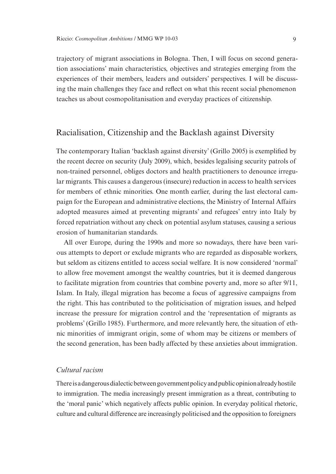trajectory of migrant associations in Bologna. Then, I will focus on second generation associations' main characteristics, objectives and strategies emerging from the experiences of their members, leaders and outsiders' perspectives. I will be discussing the main challenges they face and reflect on what this recent social phenomenon teaches us about cosmopolitanisation and everyday practices of citizenship.

### Racialisation, Citizenship and the Backlash against Diversity

The contemporary Italian 'backlash against diversity' (Grillo 2005) is exemplified by the recent decree on security (July 2009), which, besides legalising security patrols of non-trained personnel, obliges doctors and health practitioners to denounce irregular migrants. This causes a dangerous (insecure) reduction in access to health services for members of ethnic minorities. One month earlier, during the last electoral campaign for the European and administrative elections, the Ministry of Internal Affairs adopted measures aimed at preventing migrants' and refugees' entry into Italy by forced repatriation without any check on potential asylum statuses, causing a serious erosion of humanitarian standards.

All over Europe, during the 1990s and more so nowadays, there have been various attempts to deport or exclude migrants who are regarded as disposable workers, but seldom as citizens entitled to access social welfare. It is now considered 'normal' to allow free movement amongst the wealthy countries, but it is deemed dangerous to facilitate migration from countries that combine poverty and, more so after 9/11, Islam. In Italy, illegal migration has become a focus of aggressive campaigns from the right. This has contributed to the politicisation of migration issues, and helped increase the pressure for migration control and the 'representation of migrants as problems' (Grillo 1985). Furthermore, and more relevantly here, the situation of ethnic minorities of immigrant origin, some of whom may be citizens or members of the second generation, has been badly affected by these anxieties about immigration.

#### *Cultural racism*

There is a dangerous dialectic between government policy and public opinion already hostile to immigration. The media increasingly present immigration as a threat, contributing to the 'moral panic' which negatively affects public opinion. In everyday political rhetoric, culture and cultural difference are increasingly politicised and the opposition to foreigners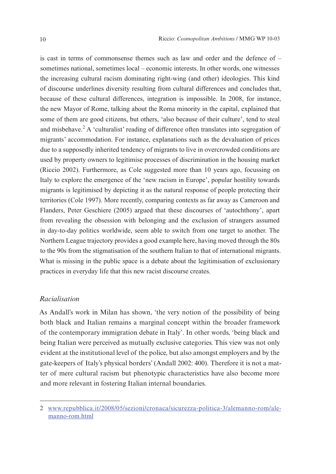is cast in terms of commonsense themes such as law and order and the defence of – sometimes national, sometimes local – economic interests. In other words, one witnesses the increasing cultural racism dominating right-wing (and other) ideologies. This kind of discourse underlines diversity resulting from cultural differences and concludes that, because of these cultural differences, integration is impossible. In 2008, for instance, the new Mayor of Rome, talking about the Roma minority in the capital, explained that some of them are good citizens, but others, 'also because of their culture', tend to steal and misbehave.<sup>2</sup> A 'culturalist' reading of difference often translates into segregation of migrants' accommodation. For instance, explanations such as the devaluation of prices due to a supposedly inherited tendency of migrants to live in overcrowded conditions are used by property owners to legitimise processes of discrimination in the housing market (Riccio 2002). Furthermore, as Cole suggested more than 10 years ago, focussing on Italy to explore the emergence of the 'new racism in Europe', popular hostility towards migrants is legitimised by depicting it as the natural response of people protecting their territories (Cole 1997). More recently, comparing contexts as far away as Cameroon and Flanders, Peter Geschiere (2005) argued that these discourses of 'autochthony', apart from revealing the obsession with belonging and the exclusion of strangers assumed in day-to-day politics worldwide, seem able to switch from one target to another. The Northern League trajectory provides a good example here, having moved through the 80s to the 90s from the stigmatisation of the southern Italian to that of international migrants. What is missing in the public space is a debate about the legitimisation of exclusionary practices in everyday life that this new racist discourse creates.

#### *Racialisation*

As Andall's work in Milan has shown, 'the very notion of the possibility of being both black and Italian remains a marginal concept within the broader framework of the contemporary immigration debate in Italy'. In other words, 'being black and being Italian were perceived as mutually exclusive categories. This view was not only evident at the institutional level of the police, but also amongst employers and by the gate-keepers of Italy's physical borders' (Andall 2002: 400). Therefore it is not a matter of mere cultural racism but phenotypic characteristics have also become more and more relevant in fostering Italian internal boundaries.

<sup>2</sup> www.repubblica.it/2008/05/sezioni/cronaca/sicurezza-politica-3/alemanno-rom/alemanno-rom.html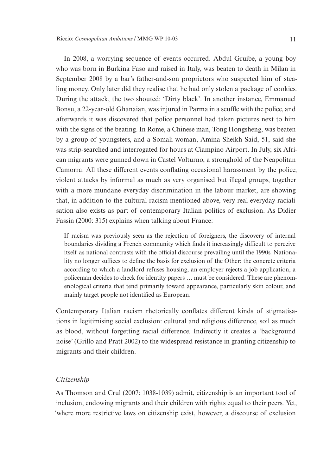In 2008, a worrying sequence of events occurred. Abdul Gruibe, a young boy who was born in Burkina Faso and raised in Italy, was beaten to death in Milan in September 2008 by a bar's father-and-son proprietors who suspected him of stealing money. Only later did they realise that he had only stolen a package of cookies. During the attack, the two shouted: 'Dirty black'. In another instance, Emmanuel Bonsu, a 22-year-old Ghanaian, was injured in Parma in a scuffle with the police, and afterwards it was discovered that police personnel had taken pictures next to him with the signs of the beating. In Rome, a Chinese man, Tong Hongsheng, was beaten by a group of youngsters, and a Somali woman, Amina Sheikh Said, 51, said she was strip-searched and interrogated for hours at Ciampino Airport. In July, six African migrants were gunned down in Castel Volturno, a stronghold of the Neapolitan Camorra. All these different events conflating occasional harassment by the police, violent attacks by informal as much as very organised but illegal groups, together with a more mundane everyday discrimination in the labour market, are showing that, in addition to the cultural racism mentioned above, very real everyday racialisation also exists as part of contemporary Italian politics of exclusion. As Didier Fassin (2000: 315) explains when talking about France:

If racism was previously seen as the rejection of foreigners, the discovery of internal boundaries dividing a French community which finds it increasingly difficult to perceive itself as national contrasts with the official discourse prevailing until the 1990s. Nationality no longer suffices to define the basis for exclusion of the Other: the concrete criteria according to which a landlord refuses housing, an employer rejects a job application, a policeman decides to check for identity papers … must be considered. These are phenomenological criteria that tend primarily toward appearance, particularly skin colour, and mainly target people not identified as European.

Contemporary Italian racism rhetorically conflates different kinds of stigmatisations in legitimising social exclusion: cultural and religious difference, soil as much as blood, without forgetting racial difference. Indirectly it creates a 'background noise' (Grillo and Pratt 2002) to the widespread resistance in granting citizenship to migrants and their children.

#### *Citizenship*

As Thomson and Crul (2007: 1038-1039) admit, citizenship is an important tool of inclusion, endowing migrants and their children with rights equal to their peers. Yet, 'where more restrictive laws on citizenship exist, however, a discourse of exclusion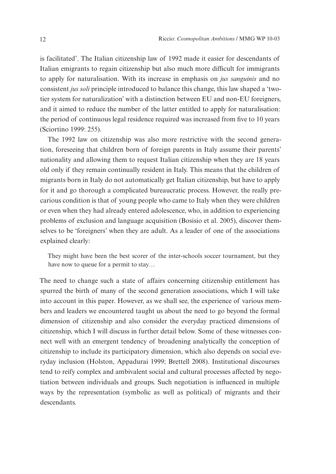is facilitated'. The Italian citizenship law of 1992 made it easier for descendants of Italian emigrants to regain citizenship but also much more difficult for immigrants to apply for naturalisation. With its increase in emphasis on *jus sanguinis* and no consistent *jus soli* principle introduced to balance this change, this law shaped a 'twotier system for naturalization' with a distinction between EU and non-EU foreigners, and it aimed to reduce the number of the latter entitled to apply for naturalisation: the period of continuous legal residence required was increased from five to 10 years (Sciortino 1999: 255).

The 1992 law on citizenship was also more restrictive with the second generation, foreseeing that children born of foreign parents in Italy assume their parents' nationality and allowing them to request Italian citizenship when they are 18 years old only if they remain continually resident in Italy. This means that the children of migrants born in Italy do not automatically get Italian citizenship, but have to apply for it and go thorough a complicated bureaucratic process. However, the really precarious condition is that of young people who came to Italy when they were children or even when they had already entered adolescence, who, in addition to experiencing problems of exclusion and language acquisition (Bosisio et al. 2005), discover themselves to be 'foreigners' when they are adult. As a leader of one of the associations explained clearly:

They might have been the best scorer of the inter-schools soccer tournament, but they have now to queue for a permit to stay…

The need to change such a state of affairs concerning citizenship entitlement has spurred the birth of many of the second generation associations, which I will take into account in this paper. However, as we shall see, the experience of various members and leaders we encountered taught us about the need to go beyond the formal dimension of citizenship and also consider the everyday practiced dimensions of citizenship, which I will discuss in further detail below. Some of these witnesses connect well with an emergent tendency of broadening analytically the conception of citizenship to include its participatory dimension, which also depends on social everyday inclusion (Holston, Appadurai 1999; Brettell 2008). Institutional discourses tend to reify complex and ambivalent social and cultural processes affected by negotiation between individuals and groups. Such negotiation is influenced in multiple ways by the representation (symbolic as well as political) of migrants and their descendants.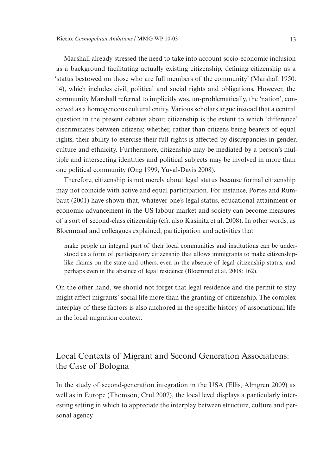Marshall already stressed the need to take into account socio-economic inclusion as a background facilitating actually existing citizenship, defining citizenship as a 'status bestowed on those who are full members of the community' (Marshall 1950: 14), which includes civil, political and social rights and obligations. However, the community Marshall referred to implicitly was, un-problematically, the 'nation', conceived as a homogeneous cultural entity. Various scholars argue instead that a central question in the present debates about citizenship is the extent to which 'difference' discriminates between citizens; whether, rather than citizens being bearers of equal rights, their ability to exercise their full rights is affected by discrepancies in gender, culture and ethnicity. Furthermore, citizenship may be mediated by a person's multiple and intersecting identities and political subjects may be involved in more than one political community (Ong 1999; Yuval-Davis 2008).

Therefore, citizenship is not merely about legal status because formal citizenship may not coincide with active and equal participation. For instance, Portes and Rumbaut (2001) have shown that, whatever one's legal status, educational attainment or economic advancement in the US labour market and society can become measures of a sort of second-class citizenship (cfr. also Kasinitz et al. 2008). In other words, as Bloemraad and colleagues explained, participation and activities that

make people an integral part of their local communities and institutions can be understood as a form of participatory citizenship that allows immigrants to make citizenshiplike claims on the state and others, even in the absence of legal citizenship status, and perhaps even in the absence of legal residence (Bloemrad et al. 2008: 162).

On the other hand, we should not forget that legal residence and the permit to stay might affect migrants' social life more than the granting of citizenship. The complex interplay of these factors is also anchored in the specific history of associational life in the local migration context.

# Local Contexts of Migrant and Second Generation Associations: the Case of Bologna

In the study of second-generation integration in the USA (Ellis, Almgren 2009) as well as in Europe (Thomson, Crul 2007), the local level displays a particularly interesting setting in which to appreciate the interplay between structure, culture and personal agency.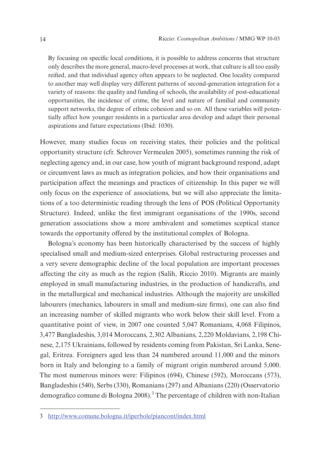By focusing on specific local conditions, it is possible to address concerns that structure only describes the more general, macro-level processes at work, that culture is all too easily reified, and that individual agency often appears to be neglected. One locality compared to another may well display very different patterns of second-generation integration for a variety of reasons: the quality and funding of schools, the availability of post-educational opportunities, the incidence of crime, the level and nature of familial and community support networks, the degree of ethnic cohesion and so on. All these variables will potentially affect how younger residents in a particular area develop and adapt their personal aspirations and future expectations (Ibid: 1030).

However, many studies focus on receiving states, their policies and the political opportunity structure (cfr. Schrover Vermeulen 2005), sometimes running the risk of neglecting agency and, in our case, how youth of migrant background respond, adapt or circumvent laws as much as integration policies, and how their organisations and participation affect the meanings and practices of citizenship. In this paper we will only focus on the experience of associations, but we will also appreciate the limitations of a too deterministic reading through the lens of POS (Political Opportunity Structure). Indeed, unlike the first immigrant organisations of the 1990s, second generation associations show a more ambivalent and sometimes sceptical stance towards the opportunity offered by the institutional complex of Bologna.

Bologna's economy has been historically characterised by the success of highly specialised small and medium-sized enterprises. Global restructuring processes and a very severe demographic decline of the local population are important processes affecting the city as much as the region (Salih, Riccio 2010). Migrants are mainly employed in small manufacturing industries, in the production of handicrafts, and in the metallurgical and mechanical industries. Although the majority are unskilled labourers (mechanics, labourers in small and medium-size firms), one can also find an increasing number of skilled migrants who work below their skill level. From a quantitative point of view, in 2007 one counted 5,047 Romanians, 4,068 Filipinos, 3,477 Bangladeshis, 3,014 Moroccans, 2,302 Albanians, 2,220 Moldavians, 2,198 Chinese, 2,175 Ukrainians, followed by residents coming from Pakistan, Sri Lanka, Senegal, Eritrea. Foreigners aged less than 24 numbered around 11,000 and the minors born in Italy and belonging to a family of migrant origin numbered around 5,000. The most numerous minors were: Filipinos (694), Chinese (592), Moroccans (573), Bangladeshis (540), Serbs (330), Romanians (297) and Albanians (220) (Osservatorio demografico comune di Bologna 2008).<sup>3</sup> The percentage of children with non-Italian

<sup>3</sup> http://www.comune.bologna.it/iperbole/piancont/index.html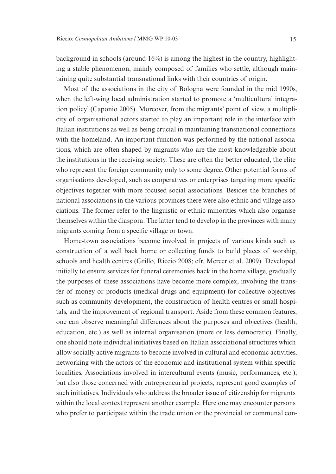background in schools (around 16%) is among the highest in the country, highlighting a stable phenomenon, mainly composed of families who settle, although maintaining quite substantial transnational links with their countries of origin.

Most of the associations in the city of Bologna were founded in the mid 1990s, when the left-wing local administration started to promote a 'multicultural integration policy' (Caponio 2005). Moreover, from the migrants' point of view, a multiplicity of organisational actors started to play an important role in the interface with Italian institutions as well as being crucial in maintaining transnational connections with the homeland. An important function was performed by the national associations, which are often shaped by migrants who are the most knowledgeable about the institutions in the receiving society. These are often the better educated, the elite who represent the foreign community only to some degree. Other potential forms of organisations developed, such as cooperatives or enterprises targeting more specific objectives together with more focused social associations. Besides the branches of national associations in the various provinces there were also ethnic and village associations. The former refer to the linguistic or ethnic minorities which also organise themselves within the diaspora. The latter tend to develop in the provinces with many migrants coming from a specific village or town.

Home-town associations become involved in projects of various kinds such as construction of a well back home or collecting funds to build places of worship, schools and health centres (Grillo, Riccio 2008; cfr. Mercer et al. 2009). Developed initially to ensure services for funeral ceremonies back in the home village, gradually the purposes of these associations have become more complex, involving the transfer of money or products (medical drugs and equipment) for collective objectives such as community development, the construction of health centres or small hospitals, and the improvement of regional transport. Aside from these common features, one can observe meaningful differences about the purposes and objectives (health, education, etc.) as well as internal organisation (more or less democratic). Finally, one should note individual initiatives based on Italian associational structures which allow socially active migrants to become involved in cultural and economic activities, networking with the actors of the economic and institutional system within specific localities. Associations involved in intercultural events (music, performances, etc.), but also those concerned with entrepreneurial projects, represent good examples of such initiatives. Individuals who address the broader issue of citizenship for migrants within the local context represent another example. Here one may encounter persons who prefer to participate within the trade union or the provincial or communal con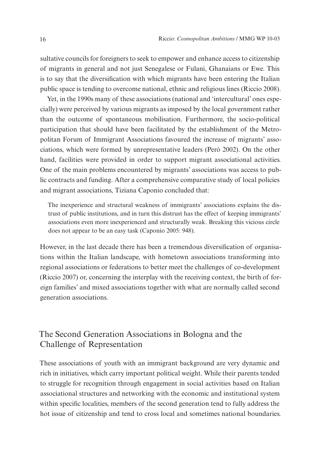sultative councils for foreigners to seek to empower and enhance access to citizenship of migrants in general and not just Senegalese or Fulani, Ghanaians or Ewe. This is to say that the diversification with which migrants have been entering the Italian public space is tending to overcome national, ethnic and religious lines (Riccio 2008).

Yet, in the 1990s many of these associations (national and 'intercultural' ones especially) were perceived by various migrants as imposed by the local government rather than the outcome of spontaneous mobilisation. Furthermore, the socio-political participation that should have been facilitated by the establishment of the Metropolitan Forum of Immigrant Associations favoured the increase of migrants' associations, which were formed by unrepresentative leaders (Però 2002). On the other hand, facilities were provided in order to support migrant associational activities. One of the main problems encountered by migrants' associations was access to public contracts and funding. After a comprehensive comparative study of local policies and migrant associations, Tiziana Caponio concluded that:

The inexperience and structural weakness of immigrants' associations explains the distrust of public institutions, and in turn this distrust has the effect of keeping immigrants' associations even more inexperienced and structurally weak. Breaking this vicious circle does not appear to be an easy task (Caponio 2005: 948).

However, in the last decade there has been a tremendous diversification of organisations within the Italian landscape, with hometown associations transforming into regional associations or federations to better meet the challenges of co-development (Riccio 2007) or, concerning the interplay with the receiving context, the birth of foreign families' and mixed associations together with what are normally called second generation associations.

# The Second Generation Associations in Bologna and the Challenge of Representation

These associations of youth with an immigrant background are very dynamic and rich in initiatives, which carry important political weight. While their parents tended to struggle for recognition through engagement in social activities based on Italian associational structures and networking with the economic and institutional system within specific localities, members of the second generation tend to fully address the hot issue of citizenship and tend to cross local and sometimes national boundaries.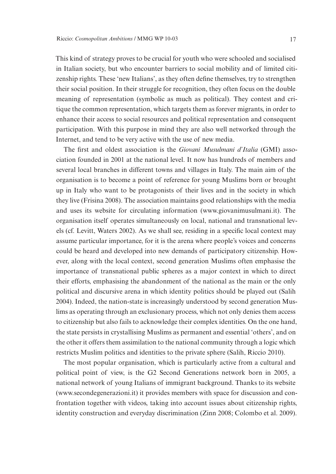This kind of strategy proves to be crucial for youth who were schooled and socialised in Italian society, but who encounter barriers to social mobility and of limited citizenship rights. These 'new Italians', as they often define themselves, try to strengthen their social position. In their struggle for recognition, they often focus on the double meaning of representation (symbolic as much as political). They contest and critique the common representation, which targets them as forever migrants, in order to enhance their access to social resources and political representation and consequent participation. With this purpose in mind they are also well networked through the Internet, and tend to be very active with the use of new media.

The first and oldest association is the *Giovani Musulmani d'Italia* (GMI) association founded in 2001 at the national level. It now has hundreds of members and several local branches in different towns and villages in Italy. The main aim of the organisation is to become a point of reference for young Muslims born or brought up in Italy who want to be protagonists of their lives and in the society in which they live (Frisina 2008). The association maintains good relationships with the media and uses its website for circulating information (www.giovanimusulmani.it). The organisation itself operates simultaneously on local, national and transnational levels (cf. Levitt, Waters 2002). As we shall see, residing in a specific local context may assume particular importance, for it is the arena where people's voices and concerns could be heard and developed into new demands of participatory citizenship. However, along with the local context, second generation Muslims often emphasise the importance of transnational public spheres as a major context in which to direct their efforts, emphasising the abandonment of the national as the main or the only political and discursive arena in which identity politics should be played out (Salih 2004). Indeed, the nation-state is increasingly understood by second generation Muslims as operating through an exclusionary process, which not only denies them access to citizenship but also fails to acknowledge their complex identities. On the one hand, the state persists in crystallising Muslims as permanent and essential 'others', and on the other it offers them assimilation to the national community through a logic which restricts Muslim politics and identities to the private sphere (Salih, Riccio 2010).

The most popular organisation, which is particularly active from a cultural and political point of view, is the G2 Second Generations network born in 2005, a national network of young Italians of immigrant background. Thanks to its website (www.secondegenerazioni.it) it provides members with space for discussion and confrontation together with videos, taking into account issues about citizenship rights, identity construction and everyday discrimination (Zinn 2008; Colombo et al. 2009).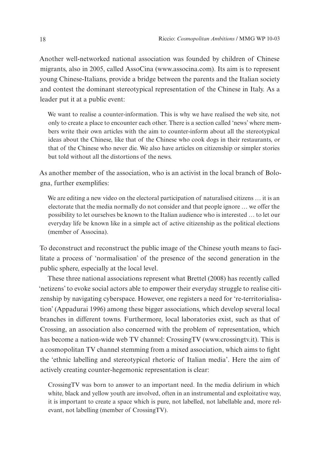Another well-networked national association was founded by children of Chinese migrants, also in 2005, called AssoCina (www.associna.com). Its aim is to represent young Chinese-Italians, provide a bridge between the parents and the Italian society and contest the dominant stereotypical representation of the Chinese in Italy. As a leader put it at a public event:

We want to realise a counter-information. This is why we have realised the web site, not only to create a place to encounter each other. There is a section called 'news' where members write their own articles with the aim to counter-inform about all the stereotypical ideas about the Chinese, like that of the Chinese who cook dogs in their restaurants, or that of the Chinese who never die. We also have articles on citizenship or simpler stories but told without all the distortions of the news.

As another member of the association, who is an activist in the local branch of Bologna, further exemplifies:

We are editing a new video on the electoral participation of naturalised citizens ... it is an electorate that the media normally do not consider and that people ignore … we offer the possibility to let ourselves be known to the Italian audience who is interested … to let our everyday life be known like in a simple act of active citizenship as the political elections (member of Associna).

To deconstruct and reconstruct the public image of the Chinese youth means to facilitate a process of 'normalisation' of the presence of the second generation in the public sphere, especially at the local level.

These three national associations represent what Brettel (2008) has recently called 'netizens' to evoke social actors able to empower their everyday struggle to realise citizenship by navigating cyberspace. However, one registers a need for 're-territorialisation' (Appadurai 1996) among these bigger associations, which develop several local branches in different towns. Furthermore, local laboratories exist, such as that of Crossing, an association also concerned with the problem of representation, which has become a nation-wide web TV channel: CrossingTV (www.crossingtv.it). This is a cosmopolitan TV channel stemming from a mixed association, which aims to fight the 'ethnic labelling and stereotypical rhetoric of Italian media'. Here the aim of actively creating counter-hegemonic representation is clear:

CrossingTV was born to answer to an important need. In the media delirium in which white, black and yellow youth are involved, often in an instrumental and exploitative way, it is important to create a space which is pure, not labelled, not labellable and, more relevant, not labelling (member of CrossingTV).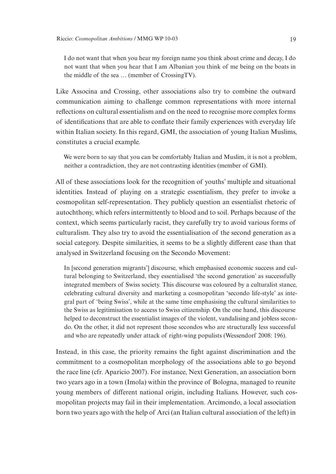I do not want that when you hear my foreign name you think about crime and decay, I do not want that when you hear that I am Albanian you think of me being on the boats in the middle of the sea … (member of CrossingTV).

Like Associna and Crossing, other associations also try to combine the outward communication aiming to challenge common representations with more internal reflections on cultural essentialism and on the need to recognise more complex forms of identifications that are able to conflate their family experiences with everyday life within Italian society. In this regard, GMI, the association of young Italian Muslims, constitutes a crucial example.

We were born to say that you can be comfortably Italian and Muslim, it is not a problem, neither a contradiction, they are not contrasting identities (member of GMI).

All of these associations look for the recognition of youths' multiple and situational identities. Instead of playing on a strategic essentialism, they prefer to invoke a cosmopolitan self-representation. They publicly question an essentialist rhetoric of autochthony, which refers intermittently to blood and to soil. Perhaps because of the context, which seems particularly racist, they carefully try to avoid various forms of culturalism. They also try to avoid the essentialisation of the second generation as a social category. Despite similarities, it seems to be a slightly different case than that analysed in Switzerland focusing on the Secondo Movement:

In [second generation migrants'] discourse, which emphasised economic success and cultural belonging to Switzerland, they essentialised 'the second generation' as successfully integrated members of Swiss society. This discourse was coloured by a culturalist stance, celebrating cultural diversity and marketing a cosmopolitan 'secondo life-style' as integral part of 'being Swiss', while at the same time emphasising the cultural similarities to the Swiss as legitimisation to access to Swiss citizenship. On the one hand, this discourse helped to deconstruct the essentialist images of the violent, vandalising and jobless secondo. On the other, it did not represent those secondos who are structurally less successful and who are repeatedly under attack of right-wing populists (Wessendorf 2008: 196).

Instead, in this case, the priority remains the fight against discrimination and the commitment to a cosmopolitan morphology of the associations able to go beyond the race line (cfr. Aparicio 2007). For instance, Next Generation, an association born two years ago in a town (Imola) within the province of Bologna, managed to reunite young members of different national origin, including Italians. However, such cosmopolitan projects may fail in their implementation. Arcimondo, a local association born two years ago with the help of Arci (an Italian cultural association of the left) in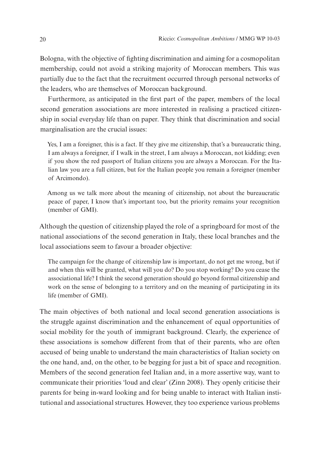Bologna, with the objective of fighting discrimination and aiming for a cosmopolitan membership, could not avoid a striking majority of Moroccan members. This was partially due to the fact that the recruitment occurred through personal networks of the leaders, who are themselves of Moroccan background.

Furthermore, as anticipated in the first part of the paper, members of the local second generation associations are more interested in realising a practiced citizenship in social everyday life than on paper. They think that discrimination and social marginalisation are the crucial issues:

Yes, I am a foreigner, this is a fact. If they give me citizenship, that's a bureaucratic thing, I am always a foreigner, if I walk in the street, I am always a Moroccan, not kidding; even if you show the red passport of Italian citizens you are always a Moroccan. For the Italian law you are a full citizen, but for the Italian people you remain a foreigner (member of Arcimondo).

Among us we talk more about the meaning of citizenship, not about the bureaucratic peace of paper, I know that's important too, but the priority remains your recognition (member of GMI).

Although the question of citizenship played the role of a springboard for most of the national associations of the second generation in Italy, these local branches and the local associations seem to favour a broader objective:

The campaign for the change of citizenship law is important, do not get me wrong, but if and when this will be granted, what will you do? Do you stop working? Do you cease the associational life? I think the second generation should go beyond formal citizenship and work on the sense of belonging to a territory and on the meaning of participating in its life (member of GMI).

The main objectives of both national and local second generation associations is the struggle against discrimination and the enhancement of equal opportunities of social mobility for the youth of immigrant background. Clearly, the experience of these associations is somehow different from that of their parents, who are often accused of being unable to understand the main characteristics of Italian society on the one hand, and, on the other, to be begging for just a bit of space and recognition. Members of the second generation feel Italian and, in a more assertive way, want to communicate their priorities 'loud and clear' (Zinn 2008). They openly criticise their parents for being in-ward looking and for being unable to interact with Italian institutional and associational structures. However, they too experience various problems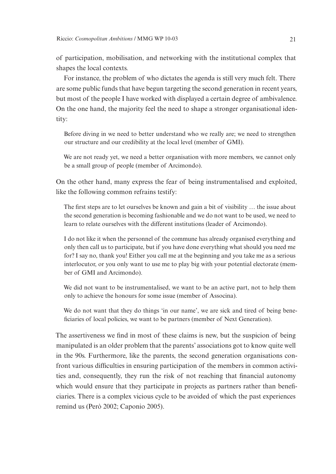of participation, mobilisation, and networking with the institutional complex that shapes the local contexts.

For instance, the problem of who dictates the agenda is still very much felt. There are some public funds that have begun targeting the second generation in recent years, but most of the people I have worked with displayed a certain degree of ambivalence. On the one hand, the majority feel the need to shape a stronger organisational identity:

Before diving in we need to better understand who we really are; we need to strengthen our structure and our credibility at the local level (member of GMI).

We are not ready yet, we need a better organisation with more members, we cannot only be a small group of people (member of Arcimondo).

On the other hand, many express the fear of being instrumentalised and exploited, like the following common refrains testify:

The first steps are to let ourselves be known and gain a bit of visibility … the issue about the second generation is becoming fashionable and we do not want to be used, we need to learn to relate ourselves with the different institutions (leader of Arcimondo).

I do not like it when the personnel of the commune has already organised everything and only then call us to participate, but if you have done everything what should you need me for? I say no, thank you! Either you call me at the beginning and you take me as a serious interlocutor, or you only want to use me to play big with your potential electorate (member of GMI and Arcimondo).

We did not want to be instrumentalised, we want to be an active part, not to help them only to achieve the honours for some issue (member of Associna).

We do not want that they do things 'in our name', we are sick and tired of being beneficiaries of local policies, we want to be partners (member of Next Generation).

The assertiveness we find in most of these claims is new, but the suspicion of being manipulated is an older problem that the parents' associations got to know quite well in the 90s. Furthermore, like the parents, the second generation organisations confront various difficulties in ensuring participation of the members in common activities and, consequently, they run the risk of not reaching that financial autonomy which would ensure that they participate in projects as partners rather than beneficiaries. There is a complex vicious cycle to be avoided of which the past experiences remind us (Però 2002; Caponio 2005).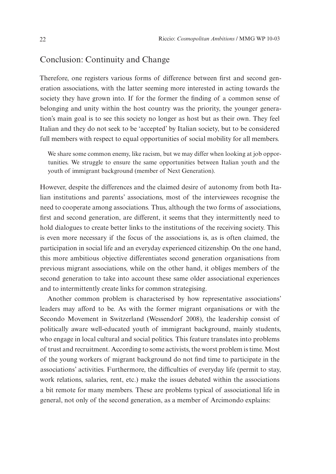# Conclusion: Continuity and Change

Therefore, one registers various forms of difference between first and second generation associations, with the latter seeming more interested in acting towards the society they have grown into. If for the former the finding of a common sense of belonging and unity within the host country was the priority, the younger generation's main goal is to see this society no longer as host but as their own. They feel Italian and they do not seek to be 'accepted' by Italian society, but to be considered full members with respect to equal opportunities of social mobility for all members.

We share some common enemy, like racism, but we may differ when looking at job opportunities. We struggle to ensure the same opportunities between Italian youth and the youth of immigrant background (member of Next Generation).

However, despite the differences and the claimed desire of autonomy from both Italian institutions and parents' associations, most of the interviewees recognise the need to cooperate among associations. Thus, although the two forms of associations, first and second generation, are different, it seems that they intermittently need to hold dialogues to create better links to the institutions of the receiving society. This is even more necessary if the focus of the associations is, as is often claimed, the participation in social life and an everyday experienced citizenship. On the one hand, this more ambitious objective differentiates second generation organisations from previous migrant associations, while on the other hand, it obliges members of the second generation to take into account these same older associational experiences and to intermittently create links for common strategising.

Another common problem is characterised by how representative associations' leaders may afford to be. As with the former migrant organisations or with the Secondo Movement in Switzerland (Wessendorf 2008), the leadership consist of politically aware well-educated youth of immigrant background, mainly students, who engage in local cultural and social politics. This feature translates into problems of trust and recruitment. According to some activists, the worst problem is time. Most of the young workers of migrant background do not find time to participate in the associations' activities. Furthermore, the difficulties of everyday life (permit to stay, work relations, salaries, rent, etc.) make the issues debated within the associations a bit remote for many members. These are problems typical of associational life in general, not only of the second generation, as a member of Arcimondo explains: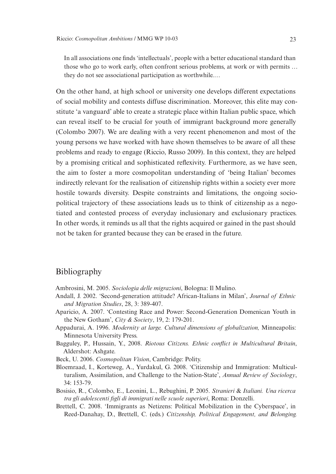In all associations one finds 'intellectuals', people with a better educational standard than those who go to work early, often confront serious problems, at work or with permits … they do not see associational participation as worthwhile.…

On the other hand, at high school or university one develops different expectations of social mobility and contests diffuse discrimination. Moreover, this elite may constitute 'a vanguard' able to create a strategic place within Italian public space, which can reveal itself to be crucial for youth of immigrant background more generally (Colombo 2007). We are dealing with a very recent phenomenon and most of the young persons we have worked with have shown themselves to be aware of all these problems and ready to engage (Riccio, Russo 2009). In this context, they are helped by a promising critical and sophisticated reflexivity. Furthermore, as we have seen, the aim to foster a more cosmopolitan understanding of 'being Italian' becomes indirectly relevant for the realisation of citizenship rights within a society ever more hostile towards diversity. Despite constraints and limitations, the ongoing sociopolitical trajectory of these associations leads us to think of citizenship as a negotiated and contested process of everyday inclusionary and exclusionary practices. In other words, it reminds us all that the rights acquired or gained in the past should not be taken for granted because they can be erased in the future.

# Bibliography

Ambrosini, M. 2005. *Sociologia delle migrazioni*, Bologna: Il Mulino.

- Andall, J. 2002. 'Second-generation attitude? African-Italians in Milan', *Journal of Ethnic and Migration Studies*, 28, 3: 389-407.
- Aparicio, A. 2007. 'Contesting Race and Power: Second-Generation Domenican Youth in the New Gotham', *City & Society*, 19, 2: 179-201.
- Appadurai, A. 1996. *Modernity at large. Cultural dimensions of globalization,* Minneapolis: Minnesota University Press.
- Bagguley, P., Hussain, Y., 2008. *Riotous Citizens. Ethnic conflict in Multicultural Britain*, Aldershot: Ashgate.
- Beck, U. 2006. *Cosmopolitan Vision*, Cambridge: Polity.
- Bloemraad, I., Korteweg, A., Yurdakul, G. 2008. 'Citizenship and Immigration: Multiculturalism, Assimilation, and Challenge to the Nation-State', *Annual Review of Sociology*, 34: 153-79.
- Bosisio, R., Colombo, E., Leonini, L., Rebughini, P. 2005. *Stranieri* & *Italiani. Una ricerca tra gli adolescenti figli di immigrati nelle scuole superiori*, Roma: Donzelli.
- Brettell, C. 2008. 'Immigrants as Netizens: Political Mobilization in the Cyberspace', in Reed-Danahay, D., Brettell, C. (eds.) *Citizenship, Political Engagement, and Belonging.*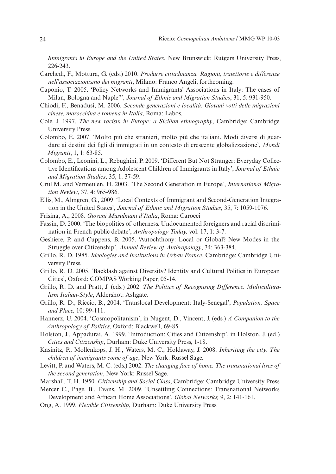*Immigrants in Europe and the United States*, New Brunswick: Rutgers University Press, 226-243.

- Carchedi, F., Mottura, G. (eds.) 2010. *Produrre cittadinanza. Ragioni, traiettorie e differenze nell'associazionismo dei migranti*, Milano: Franco Angeli, forthcoming.
- Caponio, T. 2005. 'Policy Networks and Immigrants' Associations in Italy: The cases of Milan, Bologna and Naple'"*, Journal of Ethnic and Migration Studies*, 31, 5: 931-950.
- Chiodi, F., Benadusi, M. 2006. *Seconde generazioni e località. Giovani volti delle migrazioni cinese, marocchina e romena in Italia*, Roma: Labos.
- Cole, J. 1997. *The new racism in Europe: a Sicilian ethnography*, Cambridge: Cambridge University Press.
- Colombo, E. 2007. 'Molto più che stranieri, molto più che italiani. Modi diversi di guardare ai destini dei figli di immigrati in un contesto di crescente globalizzazione', *Mondi Migranti*, 1, 1: 63-85.
- Colombo, E., Leonini, L., Rebughini, P. 2009. 'Different But Not Stranger: Everyday Collective Identifications among Adolescent Children of Immigrants in Italy', *Journal of Ethnic and Migration Studies*, 35, 1: 37-59.
- Crul M. and Vermeulen, H. 2003. 'The Second Generation in Europe', *International Migration Review*, 37, 4: 965-986.
- Ellis, M., Almgren, G., 2009. 'Local Contexts of Immigrant and Second-Generation Integration in the United States', *Journal of Ethnic and Migration Studies*, 35, 7: 1059-1076.
- Frisina, A., 2008. *Giovani Musulmani d'Italia*, Roma: Carocci
- Fassin, D. 2000. 'The biopolitics of otherness. Undocumented foreigners and racial discrimination in French public debate', *Anthropology Today,* vol. 17, 1: 3-7.
- Geshiere, P. and Cuppens, B. 2005. 'Autochthony: Local or Global? New Modes in the Struggle over Citizenship', *Annual Review of Anthropology*, 34: 363-384.
- Grillo, R. D. 1985. *Ideologies and Institutions in Urban France*, Cambridge: Cambridge University Press.
- Grillo, R. D. 2005. 'Backlash against Diversity? Identity and Cultural Politics in European Cities', Oxford: COMPAS Working Paper, 05-14.
- Grillo, R. D. and Pratt, J. (eds.) 2002. *The Politics of Recognising Difference. Multiculturalism Italian-Style*, Aldershot: Ashgate.
- Grillo, R. D., Riccio, B., 2004. 'Translocal Development: Italy-Senegal', *Population, Space and Place,* 10: 99-111.
- Hannerz, U. 2004. 'Cosmopolitanism', in Nugent, D., Vincent, J. (eds.) *A Companion to the Anthropology of Politics*, Oxford: Blackwell, 69-85.
- Holston, J., Appadurai, A. 1999. 'Introduction: Cities and Citizenship', in Holston, J. (ed.) *Cities and Citizenship*, Durham: Duke University Press, 1-18.
- Kasinitz, P., Mollenkops, J. H., Waters, M. C., Holdaway, J. 2008. *Inheriting the city. The children of immigrants come of age*, New York: Russel Sage.
- Levitt, P. and Waters, M. C. (eds.) 2002. *The changing face of home. The transnational lives of the second generation*, New York: Russel Sage.
- Marshall, T. H. 1950. *Citizenship and Social Class*, Cambridge: Cambridge University Press.
- Mercer C., Page, B., Evans, M. 2009. 'Unsettling Connections: Transnational Networks Development and African Home Associations', *Global Networks,* 9, 2: 141-161.
- Ong, A. 1999. *Flexible Citizenship*, Durham: Duke University Press.